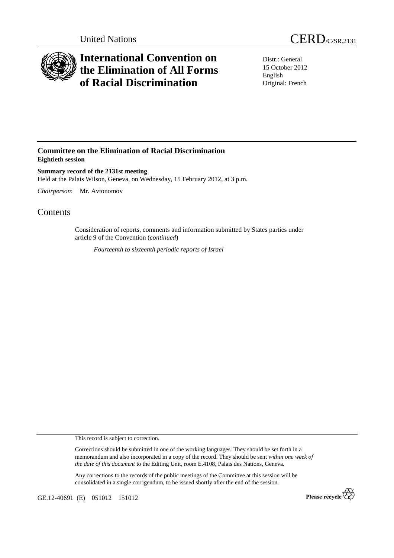

## **International Convention on the Elimination of All Forms of Racial Discrimination**

Distr.: General 15 October 2012 English Original: French

## **Committee on the Elimination of Racial Discrimination Eightieth session**

**Summary record of the 2131st meeting**  Held at the Palais Wilson, Geneva, on Wednesday, 15 February 2012, at 3 p.m.

*Chairperson*: Mr. Avtonomov

## **Contents**

Consideration of reports, comments and information submitted by States parties under article 9 of the Convention (*continued*)

*Fourteenth to sixteenth periodic reports of Israel* 

This record is subject to correction.

Corrections should be submitted in one of the working languages. They should be set forth in a memorandum and also incorporated in a copy of the record. They should be sent *within one week of the date of this document* to the Editing Unit, room E.4108, Palais des Nations, Geneva.

Any corrections to the records of the public meetings of the Committee at this session will be consolidated in a single corrigendum, to be issued shortly after the end of the session.

GE.12-40691 (E) 051012 151012

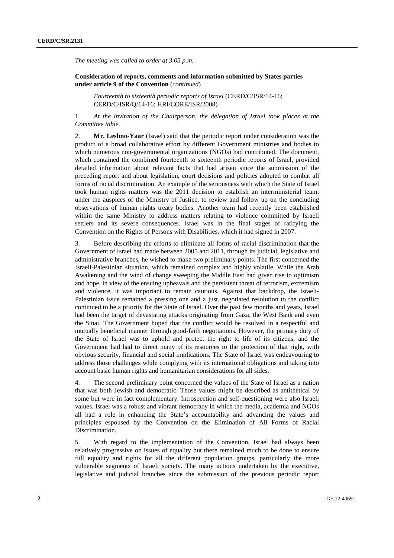*The meeting was called to order at 3.05 p.m.* 

 **Consideration of reports, comments and information submitted by States parties under article 9 of the Convention** (*continued*)

*Fourteenth to sixteenth periodic reports of Israel* (CERD/C/ISR/14-16; CERD/C/ISR/Q/14-16; HRI/CORE/ISR/2008)

1. *At the invitation of the Chairperson, the delegation of Israel took places at the Committee table.*

2. **Mr. Leshno-Yaar** (Israel) said that the periodic report under consideration was the product of a broad collaborative effort by different Government ministries and bodies to which numerous non-governmental organizations (NGOs) had contributed. The document, which contained the combined fourteenth to sixteenth periodic reports of Israel, provided detailed information about relevant facts that had arisen since the submission of the preceding report and about legislation, court decisions and policies adopted to combat all forms of racial discrimination. An example of the seriousness with which the State of Israel took human rights matters was the 2011 decision to establish an interministerial team, under the auspices of the Ministry of Justice, to review and follow up on the concluding observations of human rights treaty bodies. Another team had recently been established within the same Ministry to address matters relating to violence committed by Israeli settlers and its severe consequences. Israel was in the final stages of ratifying the Convention on the Rights of Persons with Disabilities, which it had signed in 2007.

3. Before describing the efforts to eliminate all forms of racial discrimination that the Government of Israel had made between 2005 and 2011, through its judicial, legislative and administrative branches, he wished to make two preliminary points. The first concerned the Israeli-Palestinian situation, which remained complex and highly volatile. While the Arab Awakening and the wind of change sweeping the Middle East had given rise to optimism and hope, in view of the ensuing upheavals and the persistent threat of terrorism, extremism and violence, it was important to remain cautious. Against that backdrop, the Israeli-Palestinian issue remained a pressing one and a just, negotiated resolution to the conflict continued to be a priority for the State of Israel. Over the past few months and years, Israel had been the target of devastating attacks originating from Gaza, the West Bank and even the Sinai. The Government hoped that the conflict would be resolved in a respectful and mutually beneficial manner through good-faith negotiations. However, the primary duty of the State of Israel was to uphold and protect the right to life of its citizens, and the Government had had to direct many of its resources to the protection of that right, with obvious security, financial and social implications. The State of Israel was endeavouring to address those challenges while complying with its international obligations and taking into account basic human rights and humanitarian considerations for all sides.

4. The second preliminary point concerned the values of the State of Israel as a nation that was both Jewish and democratic. Those values might be described as antithetical by some but were in fact complementary. Introspection and self-questioning were also Israeli values. Israel was a robust and vibrant democracy in which the media, academia and NGOs all had a role in enhancing the State's accountability and advancing the values and principles espoused by the Convention on the Elimination of All Forms of Racial Discrimination.

5. With regard to the implementation of the Convention, Israel had always been relatively progressive on issues of equality but there remained much to be done to ensure full equality and rights for all the different population groups, particularly the more vulnerable segments of Israeli society. The many actions undertaken by the executive, legislative and judicial branches since the submission of the previous periodic report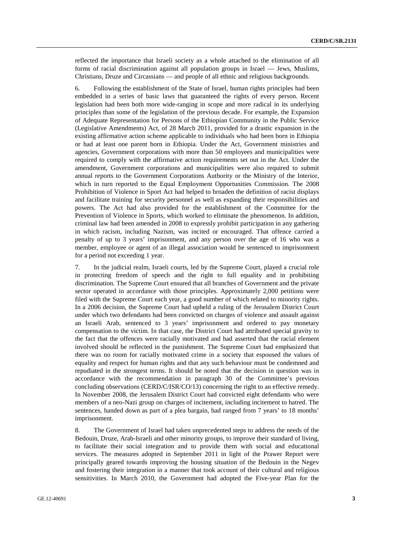reflected the importance that Israeli society as a whole attached to the elimination of all forms of racial discrimination against all population groups in Israel — Jews, Muslims, Christians, Druze and Circassians — and people of all ethnic and religious backgrounds.

6. Following the establishment of the State of Israel, human rights principles had been embedded in a series of basic laws that guaranteed the rights of every person. Recent legislation had been both more wide-ranging in scope and more radical in its underlying principles than some of the legislation of the previous decade. For example, the Expansion of Adequate Representation for Persons of the Ethiopian Community in the Public Service (Legislative Amendments) Act, of 28 March 2011, provided for a drastic expansion in the existing affirmative action scheme applicable to individuals who had been born in Ethiopia or had at least one parent born in Ethiopia. Under the Act, Government ministries and agencies, Government corporations with more than 50 employees and municipalities were required to comply with the affirmative action requirements set out in the Act. Under the amendment, Government corporations and municipalities were also required to submit annual reports to the Government Corporations Authority or the Ministry of the Interior, which in turn reported to the Equal Employment Opportunities Commission. The 2008 Prohibition of Violence in Sport Act had helped to broaden the definition of racist displays and facilitate training for security personnel as well as expanding their responsibilities and powers. The Act had also provided for the establishment of the Committee for the Prevention of Violence in Sports, which worked to eliminate the phenomenon. In addition, criminal law had been amended in 2008 to expressly prohibit participation in any gathering in which racism, including Nazism, was incited or encouraged. That offence carried a penalty of up to 3 years' imprisonment, and any person over the age of 16 who was a member, employee or agent of an illegal association would be sentenced to imprisonment for a period not exceeding 1 year.

7. In the judicial realm, Israeli courts, led by the Supreme Court, played a crucial role in protecting freedom of speech and the right to full equality and in prohibiting discrimination. The Supreme Court ensured that all branches of Government and the private sector operated in accordance with those principles. Approximately 2,000 petitions were filed with the Supreme Court each year, a good number of which related to minority rights. In a 2006 decision, the Supreme Court had upheld a ruling of the Jerusalem District Court under which two defendants had been convicted on charges of violence and assault against an Israeli Arab, sentenced to 3 years' imprisonment and ordered to pay monetary compensation to the victim. In that case, the District Court had attributed special gravity to the fact that the offences were racially motivated and had asserted that the racial element involved should be reflected in the punishment. The Supreme Court had emphasized that there was no room for racially motivated crime in a society that espoused the values of equality and respect for human rights and that any such behaviour must be condemned and repudiated in the strongest terms. It should be noted that the decision in question was in accordance with the recommendation in paragraph 30 of the Committee's previous concluding observations (CERD/C/ISR/CO/13) concerning the right to an effective remedy. In November 2008, the Jerusalem District Court had convicted eight defendants who were members of a neo-Nazi group on charges of incitement, including incitement to hatred. The sentences, handed down as part of a plea bargain, had ranged from 7 years' to 18 months' imprisonment.

8. The Government of Israel had taken unprecedented steps to address the needs of the Bedouin, Druze, Arab-Israeli and other minority groups, to improve their standard of living, to facilitate their social integration and to provide them with social and educational services. The measures adopted in September 2011 in light of the Prawer Report were principally geared towards improving the housing situation of the Bedouin in the Negev and fostering their integration in a manner that took account of their cultural and religious sensitivities. In March 2010, the Government had adopted the Five-year Plan for the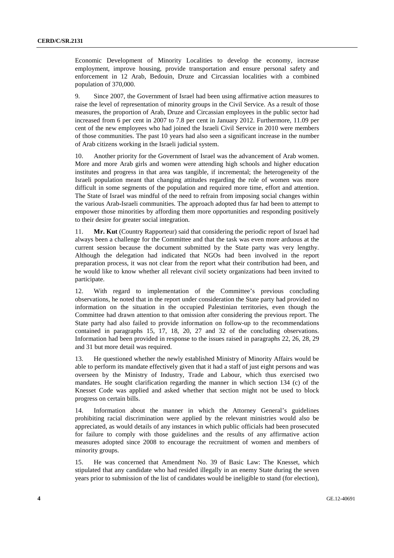Economic Development of Minority Localities to develop the economy, increase employment, improve housing, provide transportation and ensure personal safety and enforcement in 12 Arab, Bedouin, Druze and Circassian localities with a combined population of 370,000.

9. Since 2007, the Government of Israel had been using affirmative action measures to raise the level of representation of minority groups in the Civil Service. As a result of those measures, the proportion of Arab, Druze and Circassian employees in the public sector had increased from 6 per cent in 2007 to 7.8 per cent in January 2012. Furthermore, 11.09 per cent of the new employees who had joined the Israeli Civil Service in 2010 were members of those communities. The past 10 years had also seen a significant increase in the number of Arab citizens working in the Israeli judicial system.

10. Another priority for the Government of Israel was the advancement of Arab women. More and more Arab girls and women were attending high schools and higher education institutes and progress in that area was tangible, if incremental; the heterogeneity of the Israeli population meant that changing attitudes regarding the role of women was more difficult in some segments of the population and required more time, effort and attention. The State of Israel was mindful of the need to refrain from imposing social changes within the various Arab-Israeli communities. The approach adopted thus far had been to attempt to empower those minorities by affording them more opportunities and responding positively to their desire for greater social integration.

11. **Mr. Kut** (Country Rapporteur) said that considering the periodic report of Israel had always been a challenge for the Committee and that the task was even more arduous at the current session because the document submitted by the State party was very lengthy. Although the delegation had indicated that NGOs had been involved in the report preparation process, it was not clear from the report what their contribution had been, and he would like to know whether all relevant civil society organizations had been invited to participate.

12. With regard to implementation of the Committee's previous concluding observations, he noted that in the report under consideration the State party had provided no information on the situation in the occupied Palestinian territories, even though the Committee had drawn attention to that omission after considering the previous report. The State party had also failed to provide information on follow-up to the recommendations contained in paragraphs 15, 17, 18, 20, 27 and 32 of the concluding observations. Information had been provided in response to the issues raised in paragraphs 22, 26, 28, 29 and 31 but more detail was required.

13. He questioned whether the newly established Ministry of Minority Affairs would be able to perform its mandate effectively given that it had a staff of just eight persons and was overseen by the Ministry of Industry, Trade and Labour, which thus exercised two mandates. He sought clarification regarding the manner in which section 134 (c) of the Knesset Code was applied and asked whether that section might not be used to block progress on certain bills.

14. Information about the manner in which the Attorney General's guidelines prohibiting racial discrimination were applied by the relevant ministries would also be appreciated, as would details of any instances in which public officials had been prosecuted for failure to comply with those guidelines and the results of any affirmative action measures adopted since 2008 to encourage the recruitment of women and members of minority groups.

15. He was concerned that Amendment No. 39 of Basic Law: The Knesset, which stipulated that any candidate who had resided illegally in an enemy State during the seven years prior to submission of the list of candidates would be ineligible to stand (for election),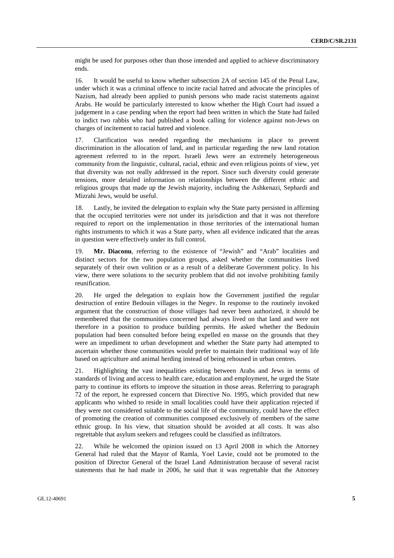might be used for purposes other than those intended and applied to achieve discriminatory ends.

16. It would be useful to know whether subsection 2A of section 145 of the Penal Law, under which it was a criminal offence to incite racial hatred and advocate the principles of Nazism, had already been applied to punish persons who made racist statements against Arabs. He would be particularly interested to know whether the High Court had issued a judgement in a case pending when the report had been written in which the State had failed to indict two rabbis who had published a book calling for violence against non-Jews on charges of incitement to racial hatred and violence.

17. Clarification was needed regarding the mechanisms in place to prevent discrimination in the allocation of land, and in particular regarding the new land rotation agreement referred to in the report. Israeli Jews were an extremely heterogeneous community from the linguistic, cultural, racial, ethnic and even religious points of view, yet that diversity was not really addressed in the report. Since such diversity could generate tensions, more detailed information on relationships between the different ethnic and religious groups that made up the Jewish majority, including the Ashkenazi, Sephardi and Mizrahi Jews, would be useful.

18. Lastly, he invited the delegation to explain why the State party persisted in affirming that the occupied territories were not under its jurisdiction and that it was not therefore required to report on the implementation in those territories of the international human rights instruments to which it was a State party, when all evidence indicated that the areas in question were effectively under its full control.

19. **Mr. Diaconu**, referring to the existence of "Jewish" and "Arab" localities and distinct sectors for the two population groups, asked whether the communities lived separately of their own volition or as a result of a deliberate Government policy. In his view, there were solutions to the security problem that did not involve prohibiting family reunification.

20. He urged the delegation to explain how the Government justified the regular destruction of entire Bedouin villages in the Negev. In response to the routinely invoked argument that the construction of those villages had never been authorized, it should be remembered that the communities concerned had always lived on that land and were not therefore in a position to produce building permits. He asked whether the Bedouin population had been consulted before being expelled en masse on the grounds that they were an impediment to urban development and whether the State party had attempted to ascertain whether those communities would prefer to maintain their traditional way of life based on agriculture and animal herding instead of being rehoused in urban centres.

21. Highlighting the vast inequalities existing between Arabs and Jews in terms of standards of living and access to health care, education and employment, he urged the State party to continue its efforts to improve the situation in those areas. Referring to paragraph 72 of the report, he expressed concern that Directive No. 1995, which provided that new applicants who wished to reside in small localities could have their application rejected if they were not considered suitable to the social life of the community, could have the effect of promoting the creation of communities composed exclusively of members of the same ethnic group. In his view, that situation should be avoided at all costs. It was also regrettable that asylum seekers and refugees could be classified as infiltrators.

22. While he welcomed the opinion issued on 13 April 2008 in which the Attorney General had ruled that the Mayor of Ramla, Yoel Lavie, could not be promoted to the position of Director General of the Israel Land Administration because of several racist statements that he had made in 2006, he said that it was regrettable that the Attorney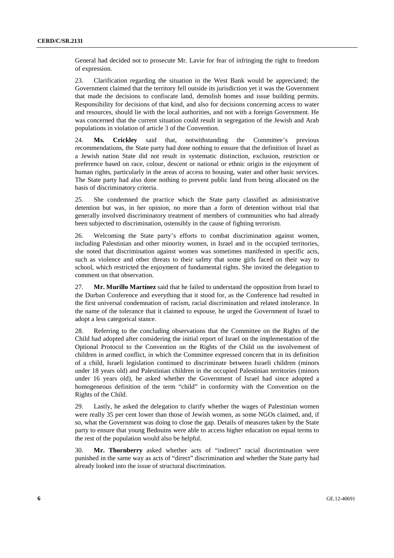General had decided not to prosecute Mr. Lavie for fear of infringing the right to freedom of expression.

23. Clarification regarding the situation in the West Bank would be appreciated; the Government claimed that the territory fell outside its jurisdiction yet it was the Government that made the decisions to confiscate land, demolish homes and issue building permits. Responsibility for decisions of that kind, and also for decisions concerning access to water and resources, should lie with the local authorities, and not with a foreign Government. He was concerned that the current situation could result in segregation of the Jewish and Arab populations in violation of article 3 of the Convention.

24. **Ms. Crickley** said that, notwithstanding the Committee's previous recommendations, the State party had done nothing to ensure that the definition of Israel as a Jewish nation State did not result in systematic distinction, exclusion, restriction or preference based on race, colour, descent or national or ethnic origin in the enjoyment of human rights, particularly in the areas of access to housing, water and other basic services. The State party had also done nothing to prevent public land from being allocated on the basis of discriminatory criteria.

25. She condemned the practice which the State party classified as administrative detention but was, in her opinion, no more than a form of detention without trial that generally involved discriminatory treatment of members of communities who had already been subjected to discrimination, ostensibly in the cause of fighting terrorism.

26. Welcoming the State party's efforts to combat discrimination against women, including Palestinian and other minority women, in Israel and in the occupied territories, she noted that discrimination against women was sometimes manifested in specific acts, such as violence and other threats to their safety that some girls faced on their way to school, which restricted the enjoyment of fundamental rights. She invited the delegation to comment on that observation.

27. **Mr. Murillo Martínez** said that he failed to understand the opposition from Israel to the Durban Conference and everything that it stood for, as the Conference had resulted in the first universal condemnation of racism, racial discrimination and related intolerance. In the name of the tolerance that it claimed to espouse, he urged the Government of Israel to adopt a less categorical stance.

28. Referring to the concluding observations that the Committee on the Rights of the Child had adopted after considering the initial report of Israel on the implementation of the Optional Protocol to the Convention on the Rights of the Child on the involvement of children in armed conflict, in which the Committee expressed concern that in its definition of a child, Israeli legislation continued to discriminate between Israeli children (minors under 18 years old) and Palestinian children in the occupied Palestinian territories (minors under 16 years old), he asked whether the Government of Israel had since adopted a homogeneous definition of the term "child" in conformity with the Convention on the Rights of the Child.

29. Lastly, he asked the delegation to clarify whether the wages of Palestinian women were really 35 per cent lower than those of Jewish women, as some NGOs claimed, and, if so, what the Government was doing to close the gap. Details of measures taken by the State party to ensure that young Bedouins were able to access higher education on equal terms to the rest of the population would also be helpful.

30. **Mr. Thornberry** asked whether acts of "indirect" racial discrimination were punished in the same way as acts of "direct" discrimination and whether the State party had already looked into the issue of structural discrimination.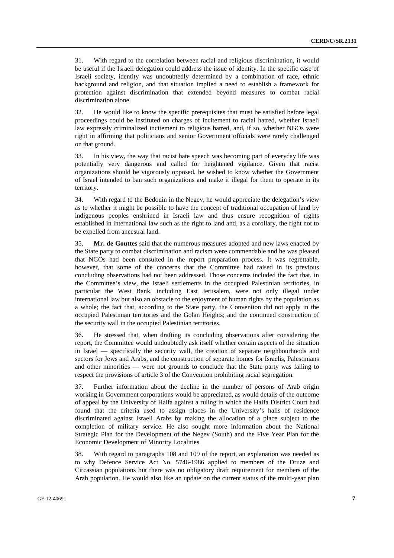31. With regard to the correlation between racial and religious discrimination, it would be useful if the Israeli delegation could address the issue of identity. In the specific case of Israeli society, identity was undoubtedly determined by a combination of race, ethnic background and religion, and that situation implied a need to establish a framework for protection against discrimination that extended beyond measures to combat racial discrimination alone.

32. He would like to know the specific prerequisites that must be satisfied before legal proceedings could be instituted on charges of incitement to racial hatred, whether Israeli law expressly criminalized incitement to religious hatred, and, if so, whether NGOs were right in affirming that politicians and senior Government officials were rarely challenged on that ground.

33. In his view, the way that racist hate speech was becoming part of everyday life was potentially very dangerous and called for heightened vigilance. Given that racist organizations should be vigorously opposed, he wished to know whether the Government of Israel intended to ban such organizations and make it illegal for them to operate in its territory.

34. With regard to the Bedouin in the Negev, he would appreciate the delegation's view as to whether it might be possible to have the concept of traditional occupation of land by indigenous peoples enshrined in Israeli law and thus ensure recognition of rights established in international law such as the right to land and, as a corollary, the right not to be expelled from ancestral land.

35. **Mr. de Gouttes** said that the numerous measures adopted and new laws enacted by the State party to combat discrimination and racism were commendable and he was pleased that NGOs had been consulted in the report preparation process. It was regrettable, however, that some of the concerns that the Committee had raised in its previous concluding observations had not been addressed. Those concerns included the fact that, in the Committee's view, the Israeli settlements in the occupied Palestinian territories, in particular the West Bank, including East Jerusalem, were not only illegal under international law but also an obstacle to the enjoyment of human rights by the population as a whole; the fact that, according to the State party, the Convention did not apply in the occupied Palestinian territories and the Golan Heights; and the continued construction of the security wall in the occupied Palestinian territories.

36. He stressed that, when drafting its concluding observations after considering the report, the Committee would undoubtedly ask itself whether certain aspects of the situation in Israel — specifically the security wall, the creation of separate neighbourhoods and sectors for Jews and Arabs, and the construction of separate homes for Israelis, Palestinians and other minorities — were not grounds to conclude that the State party was failing to respect the provisions of article 3 of the Convention prohibiting racial segregation.

37. Further information about the decline in the number of persons of Arab origin working in Government corporations would be appreciated, as would details of the outcome of appeal by the University of Haifa against a ruling in which the Haifa District Court had found that the criteria used to assign places in the University's halls of residence discriminated against Israeli Arabs by making the allocation of a place subject to the completion of military service. He also sought more information about the National Strategic Plan for the Development of the Negev (South) and the Five Year Plan for the Economic Development of Minority Localities.

38. With regard to paragraphs 108 and 109 of the report, an explanation was needed as to why Defence Service Act No. 5746-1986 applied to members of the Druze and Circassian populations but there was no obligatory draft requirement for members of the Arab population. He would also like an update on the current status of the multi-year plan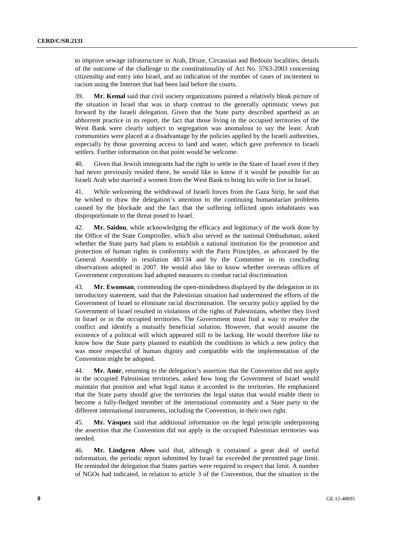to improve sewage infrastructure in Arab, Druze, Circassian and Bedouin localities, details of the outcome of the challenge to the constitutionality of Act No. 5763-2003 concerning citizenship and entry into Israel, and an indication of the number of cases of incitement to racism using the Internet that had been laid before the courts.

39. **Mr. Kemal** said that civil society organizations painted a relatively bleak picture of the situation in Israel that was in sharp contrast to the generally optimistic views put forward by the Israeli delegation. Given that the State party described apartheid as an abhorrent practice in its report, the fact that those living in the occupied territories of the West Bank were clearly subject to segregation was anomalous to say the least. Arab communities were placed at a disadvantage by the policies applied by the Israeli authorities, especially by those governing access to land and water, which gave preference to Israeli settlers. Further information on that point would be welcome.

40. Given that Jewish immigrants had the right to settle in the State of Israel even if they had never previously resided there, he would like to know if it would be possible for an Israeli Arab who married a women from the West Bank to bring his wife to live in Israel.

41. While welcoming the withdrawal of Israeli forces from the Gaza Strip, he said that he wished to draw the delegation's attention to the continuing humanitarian problems caused by the blockade and the fact that the suffering inflicted upon inhabitants was disproportionate to the threat posed to Israel.

42. **Mr. Saidou**, while acknowledging the efficacy and legitimacy of the work done by the Office of the State Comptroller, which also served as the national Ombudsman, asked whether the State party had plans to establish a national institution for the promotion and protection of human rights in conformity with the Paris Principles, as advocated by the General Assembly in resolution 48/134 and by the Committee in its concluding observations adopted in 2007. He would also like to know whether overseas offices of Government corporations had adopted measures to combat racial discrimination.

43. **Mr. Ewomsan**, commending the open-mindedness displayed by the delegation in its introductory statement, said that the Palestinian situation had undermined the efforts of the Government of Israel to eliminate racial discrimination. The security policy applied by the Government of Israel resulted in violations of the rights of Palestinians, whether they lived in Israel or in the occupied territories. The Government must find a way to resolve the conflict and identify a mutually beneficial solution. However, that would assume the existence of a political will which appeared still to be lacking. He would therefore like to know how the State party planned to establish the conditions in which a new policy that was more respectful of human dignity and compatible with the implementation of the Convention might be adopted.

44. **Mr. Amir**, returning to the delegation's assertion that the Convention did not apply in the occupied Palestinian territories, asked how long the Government of Israel would maintain that position and what legal status it accorded to the territories. He emphasized that the State party should give the territories the legal status that would enable them to become a fully-fledged member of the international community and a State party to the different international instruments, including the Convention, in their own right.

45. **Mr. Vásquez** said that additional information on the legal principle underpinning the assertion that the Convention did not apply in the occupied Palestinian territories was needed.

46. **Mr. Lindgren Alves** said that, although it contained a great deal of useful information, the periodic report submitted by Israel far exceeded the permitted page limit. He reminded the delegation that States parties were required to respect that limit. A number of NGOs had indicated, in relation to article 3 of the Convention, that the situation in the